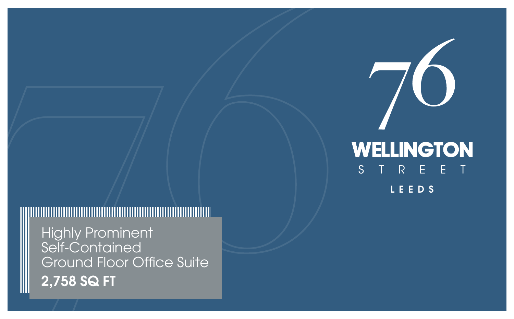# WELLINGTON S T R E E T LEEDS



## 

Highly Prominent Self-Contained Ground Floor Office Suite 2,758 SQ FT

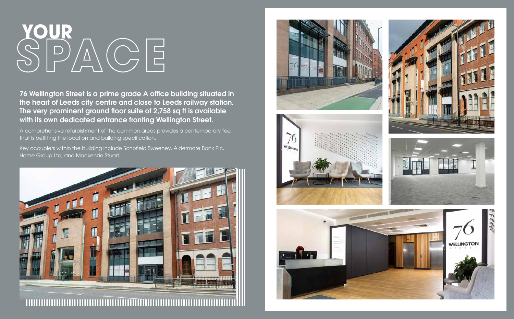76 Wellington Street is a prime grade A office building situated in the heart of Leeds city centre and close to Leeds railway station. The very prominent ground floor suite of 2,758 sq ft is available with its own dedicated entrance fronting Wellington Street.



A comprehensive refurbishment of the common areas provides a contemporary feel that is befitting the location and building specification.

Key occupiers within the building include Schofield Sweeney, Aldermore Bank Plc, Home Group Ltd, and Mackenzie Stuart.











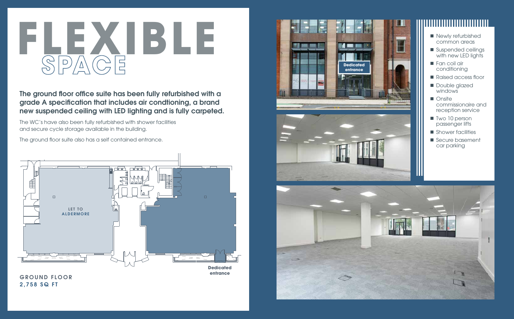The ground floor office suite has been fully refurbished with a grade A specification that includes air condtioning, a brand new suspended ceiling with LED lighting and is fully carpeted.

The WC's have also been fully refurbished with shower facilities and secure cycle storage available in the building.

The ground floor suite also has a self contained entrance.

GROUND FLOOR 2,758 SQ FT









- common areas
- Suspended ceilings with new LED lights
- **Fan coil air** conditioning
- Raised access floor
- **Double glazed** windows
- Onsite commissionaire and reception service
- Two 10 person passenger lifts
- Shower facilities
- Secure basement car parking

**Dedicated entrance**